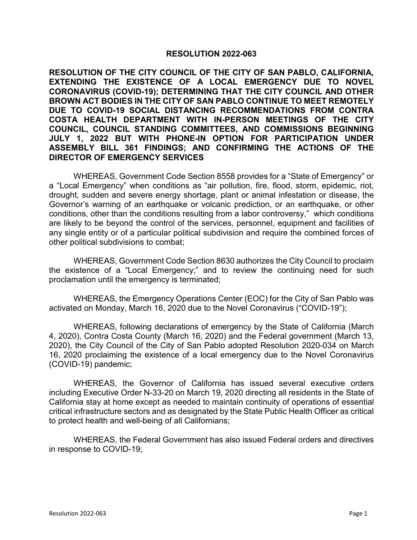## **RESOLUTION 2022-063**

**RESOLUTION OF THE CITY COUNCIL OF THE CITY OF SAN PABLO, CALIFORNIA, EXTENDING THE EXISTENCE OF A LOCAL EMERGENCY DUE TO NOVEL CORONAVIRUS (COVID-19); DETERMINING THAT THE CITY COUNCIL AND OTHER BROWN ACT BODIES IN THE CITY OF SAN PABLO CONTINUE TO MEET REMOTELY DUE TO COVID-19 SOCIAL DISTANCING RECOMMENDATIONS FROM CONTRA COSTA HEALTH DEPARTMENT WITH IN-PERSON MEETINGS OF THE CITY COUNCIL, COUNCIL STANDING COMMITTEES, AND COMMISSIONS BEGINNING JULY 1, 2022 BUT WITH PHONE-IN OPTION FOR PARTICIPATION UNDER ASSEMBLY BILL 361 FINDINGS; AND CONFIRMING THE ACTIONS OF THE DIRECTOR OF EMERGENCY SERVICES**

WHEREAS, Government Code Section 8558 provides for a "State of Emergency" or a "Local Emergency" when conditions as "air pollution, fire, flood, storm, epidemic, riot, drought, sudden and severe energy shortage, plant or animal infestation or disease, the Governor's warning of an earthquake or volcanic prediction, or an earthquake, or other conditions, other than the conditions resulting from a labor controversy," which conditions are likely to be beyond the control of the services, personnel, equipment and facilities of any single entity or of a particular political subdivision and require the combined forces of other political subdivisions to combat;

WHEREAS, Government Code Section 8630 authorizes the City Council to proclaim the existence of a "Local Emergency;" and to review the continuing need for such proclamation until the emergency is terminated;

WHEREAS, the Emergency Operations Center (EOC) for the City of San Pablo was activated on Monday, March 16, 2020 due to the Novel Coronavirus ("COVID-19");

WHEREAS, following declarations of emergency by the State of California (March 4, 2020), Contra Costa County (March 16, 2020) and the Federal government (March 13, 2020), the City Council of the City of San Pablo adopted Resolution 2020-034 on March 16, 2020 proclaiming the existence of a local emergency due to the Novel Coronavirus (COVID-19) pandemic;

WHEREAS, the Governor of California has issued several executive orders including Executive Order N-33-20 on March 19, 2020 directing all residents in the State of California stay at home except as needed to maintain continuity of operations of essential critical infrastructure sectors and as designated by the State Public Health Officer as critical to protect health and well-being of all Californians;

WHEREAS, the Federal Government has also issued Federal orders and directives in response to COVID-19;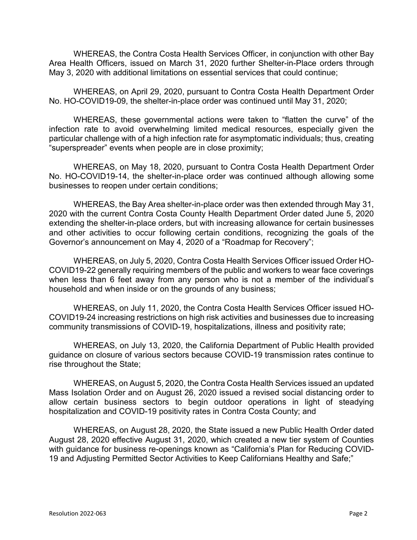WHEREAS, the Contra Costa Health Services Officer, in conjunction with other Bay Area Health Officers, issued on March 31, 2020 further Shelter-in-Place orders through May 3, 2020 with additional limitations on essential services that could continue;

WHEREAS, on April 29, 2020, pursuant to Contra Costa Health Department Order No. HO-COVID19-09, the shelter-in-place order was continued until May 31, 2020;

WHEREAS, these governmental actions were taken to "flatten the curve" of the infection rate to avoid overwhelming limited medical resources, especially given the particular challenge with of a high infection rate for asymptomatic individuals; thus, creating "superspreader" events when people are in close proximity;

WHEREAS, on May 18, 2020, pursuant to Contra Costa Health Department Order No. HO-COVID19-14, the shelter-in-place order was continued although allowing some businesses to reopen under certain conditions;

WHEREAS, the Bay Area shelter-in-place order was then extended through May 31, 2020 with the current Contra Costa County Health Department Order dated June 5, 2020 extending the shelter-in-place orders, but with increasing allowance for certain businesses and other activities to occur following certain conditions, recognizing the goals of the Governor's announcement on May 4, 2020 of a "Roadmap for Recovery";

WHEREAS, on July 5, 2020, Contra Costa Health Services Officer issued Order HO-COVID19-22 generally requiring members of the public and workers to wear face coverings when less than 6 feet away from any person who is not a member of the individual's household and when inside or on the grounds of any business;

WHEREAS, on July 11, 2020, the Contra Costa Health Services Officer issued HO-COVID19-24 increasing restrictions on high risk activities and businesses due to increasing community transmissions of COVID-19, hospitalizations, illness and positivity rate;

WHEREAS, on July 13, 2020, the California Department of Public Health provided guidance on closure of various sectors because COVID-19 transmission rates continue to rise throughout the State;

WHEREAS, on August 5, 2020, the Contra Costa Health Services issued an updated Mass Isolation Order and on August 26, 2020 issued a revised social distancing order to allow certain business sectors to begin outdoor operations in light of steadying hospitalization and COVID-19 positivity rates in Contra Costa County; and

WHEREAS, on August 28, 2020, the State issued a new Public Health Order dated August 28, 2020 effective August 31, 2020, which created a new tier system of Counties with guidance for business re-openings known as "California's Plan for Reducing COVID-19 and Adjusting Permitted Sector Activities to Keep Californians Healthy and Safe;"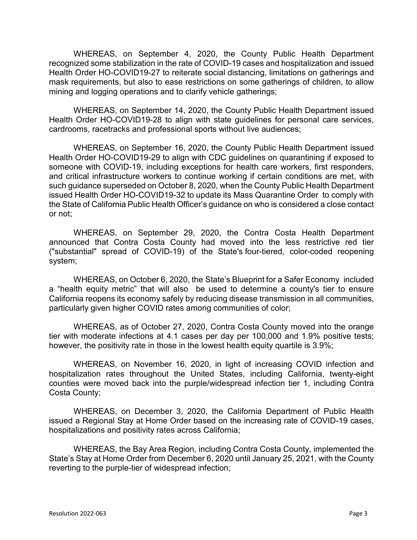WHEREAS, on September 4, 2020, the County Public Health Department recognized some stabilization in the rate of COVID-19 cases and hospitalization and issued Health Order HO-COVID19-27 to reiterate social distancing, limitations on gatherings and mask requirements, but also to ease restrictions on some gatherings of children, to allow mining and logging operations and to clarify vehicle gatherings;

WHEREAS, on September 14, 2020, the County Public Health Department issued Health Order HO-COVID19-28 to align with state guidelines for personal care services, cardrooms, racetracks and professional sports without live audiences;

WHEREAS, on September 16, 2020, the County Public Health Department issued Health Order HO-COVID19-29 to align with CDC guidelines on quarantining if exposed to someone with COVID-19, including exceptions for health care workers, first responders, and critical infrastructure workers to continue working if certain conditions are met, with such guidance superseded on October 8, 2020, when the County Public Health Department issued Health Order HO-COVID19-32 to update its Mass Quarantine Order to comply with the State of California Public Health Officer's guidance on who is considered a close contact or not;

WHEREAS, on September 29, 2020, the Contra Costa Health Department announced that Contra Costa County had moved into the less restrictive red tier ("substantial" spread of COVID-19) of the State's [four-tiered, color-coded reopening](https://covid19.ca.gov/safer-economy/)  [system;](https://covid19.ca.gov/safer-economy/)

WHEREAS, on October 6, 2020, the State's [Blueprint for a Safer Economy](https://www.cdph.ca.gov/Programs/CID/DCDC/Pages/COVID-19/COVID19CountyMonitoringOverview.aspx) included a "health equity metric" that will also be used to determine a county's tier to ensure California reopens its economy safely by reducing disease transmission in all communities, particularly given higher COVID rates among communities of color;

WHEREAS, as of October 27, 2020, Contra Costa County moved into the orange tier with moderate infections at 4.1 cases per day per 100,000 and 1.9% positive tests; however, the positivity rate in those in the lowest health equity quartile is 3.9%;

WHEREAS, on November 16, 2020, in light of increasing COVID infection and hospitalization rates throughout the United States, including California, twenty-eight counties were moved back into the purple/widespread infection tier 1, including Contra Costa County;

WHEREAS, on December 3, 2020, the California Department of Public Health issued a Regional Stay at Home Order based on the increasing rate of COVID-19 cases, hospitalizations and positivity rates across California;

WHEREAS, the Bay Area Region, including Contra Costa County, implemented the State's Stay at Home Order from December 6, 2020 until January 25, 2021, with the County reverting to the purple-tier of widespread infection;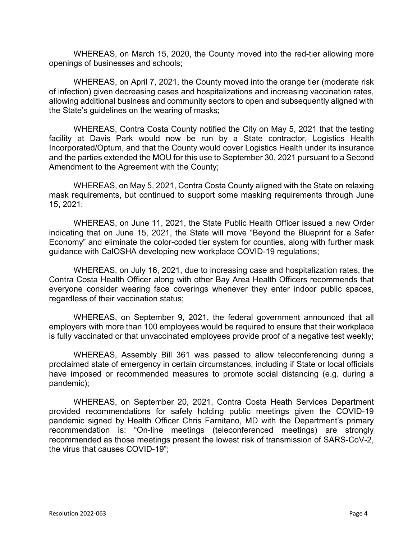WHEREAS, on March 15, 2020, the County moved into the red-tier allowing more openings of businesses and schools;

WHEREAS, on April 7, 2021, the County moved into the orange tier (moderate risk of infection) given decreasing cases and hospitalizations and increasing vaccination rates, allowing additional business and community sectors to open and subsequently aligned with the State's guidelines on the wearing of masks;

WHEREAS, Contra Costa County notified the City on May 5, 2021 that the testing facility at Davis Park would now be run by a State contractor, Logistics Health Incorporated/Optum, and that the County would cover Logistics Health under its insurance and the parties extended the MOU for this use to September 30, 2021 pursuant to a Second Amendment to the Agreement with the County;

WHEREAS, on May 5, 2021, Contra Costa County aligned with the State on relaxing mask requirements, but continued to support some masking requirements through June 15, 2021;

WHEREAS, on June 11, 2021, the State Public Health Officer issued a new Order indicating that on June 15, 2021, the State will move "Beyond the Blueprint for a Safer Economy" and eliminate the color-coded tier system for counties, along with further mask guidance with CalOSHA developing new workplace COVID-19 regulations;

WHEREAS, on July 16, 2021, due to increasing case and hospitalization rates, the Contra Costa Health Officer along with other Bay Area Health Officers recommends that everyone consider wearing face coverings whenever they enter indoor public spaces, regardless of their vaccination status;

WHEREAS, on September 9, 2021, the federal government announced that all employers with more than 100 employees would be required to ensure that their workplace is fully vaccinated or that unvaccinated employees provide proof of a negative test weekly;

WHEREAS, Assembly Bill 361 was passed to allow teleconferencing during a proclaimed state of emergency in certain circumstances, including if State or local officials have imposed or recommended measures to promote social distancing (e.g. during a pandemic);

WHEREAS, on September 20, 2021, Contra Costa Heath Services Department provided recommendations for safely holding public meetings given the COVID-19 pandemic signed by Health Officer Chris Farnitano, MD with the Department's primary recommendation is: "On-line meetings (teleconferenced meetings) are strongly recommended as those meetings present the lowest risk of transmission of SARS-CoV-2, the virus that causes COVID-19";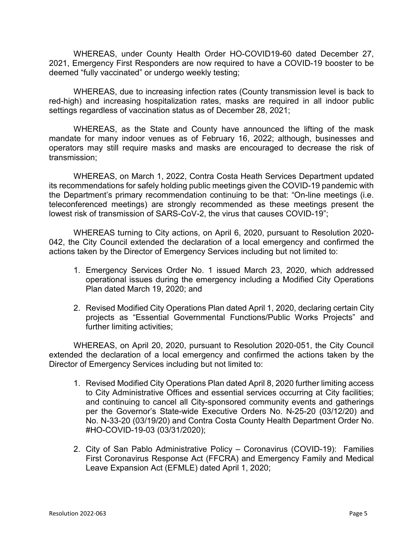WHEREAS, under County Health Order HO-COVID19-60 dated December 27, 2021, Emergency First Responders are now required to have a COVID-19 booster to be deemed "fully vaccinated" or undergo weekly testing;

WHEREAS, due to increasing infection rates (County transmission level is back to red-high) and increasing hospitalization rates, masks are required in all indoor public settings regardless of vaccination status as of December 28, 2021;

WHEREAS, as the State and County have announced the lifting of the mask mandate for many indoor venues as of February 16, 2022; although, businesses and operators may still require masks and masks are encouraged to decrease the risk of transmission;

WHEREAS, on March 1, 2022, Contra Costa Heath Services Department updated its recommendations for safely holding public meetings given the COVID-19 pandemic with the Department's primary recommendation continuing to be that: "On-line meetings (i.e. teleconferenced meetings) are strongly recommended as these meetings present the lowest risk of transmission of SARS-CoV-2, the virus that causes COVID-19";

WHEREAS turning to City actions, on April 6, 2020, pursuant to Resolution 2020- 042, the City Council extended the declaration of a local emergency and confirmed the actions taken by the Director of Emergency Services including but not limited to:

- 1. Emergency Services Order No. 1 issued March 23, 2020, which addressed operational issues during the emergency including a Modified City Operations Plan dated March 19, 2020; and
- 2. Revised Modified City Operations Plan dated April 1, 2020, declaring certain City projects as "Essential Governmental Functions/Public Works Projects" and further limiting activities;

WHEREAS, on April 20, 2020, pursuant to Resolution 2020-051, the City Council extended the declaration of a local emergency and confirmed the actions taken by the Director of Emergency Services including but not limited to:

- 1. Revised Modified City Operations Plan dated April 8, 2020 further limiting access to City Administrative Offices and essential services occurring at City facilities; and continuing to cancel all City-sponsored community events and gatherings per the Governor's State-wide Executive Orders No. N-25-20 (03/12/20) and No. N-33-20 (03/19/20) and Contra Costa County Health Department Order No. #HO-COVID-19-03 (03/31/2020);
- 2. City of San Pablo Administrative Policy Coronavirus (COVID-19): Families First Coronavirus Response Act (FFCRA) and Emergency Family and Medical Leave Expansion Act (EFMLE) dated April 1, 2020;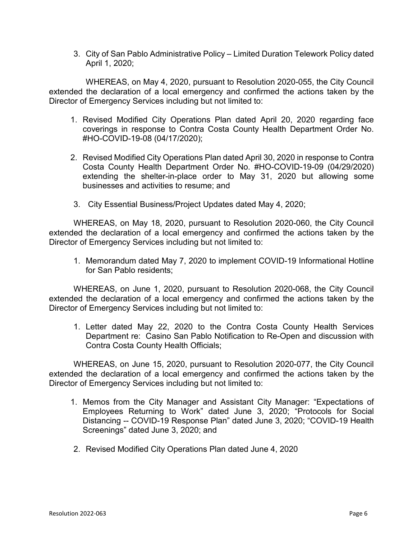3. City of San Pablo Administrative Policy – Limited Duration Telework Policy dated April 1, 2020;

WHEREAS, on May 4, 2020, pursuant to Resolution 2020-055, the City Council extended the declaration of a local emergency and confirmed the actions taken by the Director of Emergency Services including but not limited to:

- 1. Revised Modified City Operations Plan dated April 20, 2020 regarding face coverings in response to Contra Costa County Health Department Order No. #HO-COVID-19-08 (04/17/2020);
- 2. Revised Modified City Operations Plan dated April 30, 2020 in response to Contra Costa County Health Department Order No. #HO-COVID-19-09 (04/29/2020) extending the shelter-in-place order to May 31, 2020 but allowing some businesses and activities to resume; and
- 3. City Essential Business/Project Updates dated May 4, 2020;

WHEREAS, on May 18, 2020, pursuant to Resolution 2020-060, the City Council extended the declaration of a local emergency and confirmed the actions taken by the Director of Emergency Services including but not limited to:

1. Memorandum dated May 7, 2020 to implement COVID-19 Informational Hotline for San Pablo residents;

WHEREAS, on June 1, 2020, pursuant to Resolution 2020-068, the City Council extended the declaration of a local emergency and confirmed the actions taken by the Director of Emergency Services including but not limited to:

1. Letter dated May 22, 2020 to the Contra Costa County Health Services Department re: Casino San Pablo Notification to Re-Open and discussion with Contra Costa County Health Officials;

WHEREAS, on June 15, 2020, pursuant to Resolution 2020-077, the City Council extended the declaration of a local emergency and confirmed the actions taken by the Director of Emergency Services including but not limited to:

- 1. Memos from the City Manager and Assistant City Manager: "Expectations of Employees Returning to Work" dated June 3, 2020; "Protocols for Social Distancing -- COVID-19 Response Plan" dated June 3, 2020; "COVID-19 Health Screenings" dated June 3, 2020; and
- 2. Revised Modified City Operations Plan dated June 4, 2020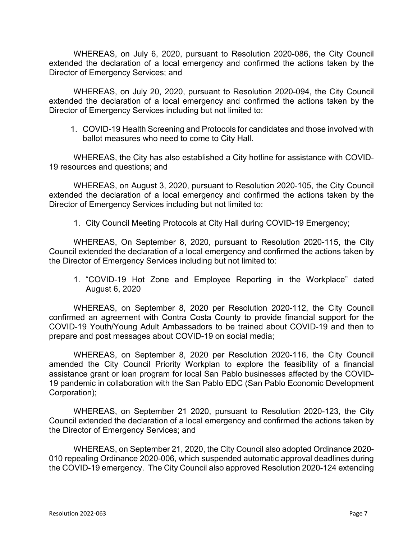WHEREAS, on July 6, 2020, pursuant to Resolution 2020-086, the City Council extended the declaration of a local emergency and confirmed the actions taken by the Director of Emergency Services; and

WHEREAS, on July 20, 2020, pursuant to Resolution 2020-094, the City Council extended the declaration of a local emergency and confirmed the actions taken by the Director of Emergency Services including but not limited to:

1. COVID-19 Health Screening and Protocols for candidates and those involved with ballot measures who need to come to City Hall.

WHEREAS, the City has also established a City hotline for assistance with COVID-19 resources and questions; and

WHEREAS, on August 3, 2020, pursuant to Resolution 2020-105, the City Council extended the declaration of a local emergency and confirmed the actions taken by the Director of Emergency Services including but not limited to:

1. City Council Meeting Protocols at City Hall during COVID-19 Emergency;

WHEREAS, On September 8, 2020, pursuant to Resolution 2020-115, the City Council extended the declaration of a local emergency and confirmed the actions taken by the Director of Emergency Services including but not limited to:

1. "COVID-19 Hot Zone and Employee Reporting in the Workplace" dated August 6, 2020

WHEREAS, on September 8, 2020 per Resolution 2020-112, the City Council confirmed an agreement with Contra Costa County to provide financial support for the COVID-19 Youth/Young Adult Ambassadors to be trained about COVID-19 and then to prepare and post messages about COVID-19 on social media;

WHEREAS, on September 8, 2020 per Resolution 2020-116, the City Council amended the City Council Priority Workplan to explore the feasibility of a financial assistance grant or loan program for local San Pablo businesses affected by the COVID-19 pandemic in collaboration with the San Pablo EDC (San Pablo Economic Development Corporation);

WHEREAS, on September 21 2020, pursuant to Resolution 2020-123, the City Council extended the declaration of a local emergency and confirmed the actions taken by the Director of Emergency Services; and

WHEREAS, on September 21, 2020, the City Council also adopted Ordinance 2020- 010 repealing Ordinance 2020-006, which suspended automatic approval deadlines during the COVID-19 emergency. The City Council also approved Resolution 2020-124 extending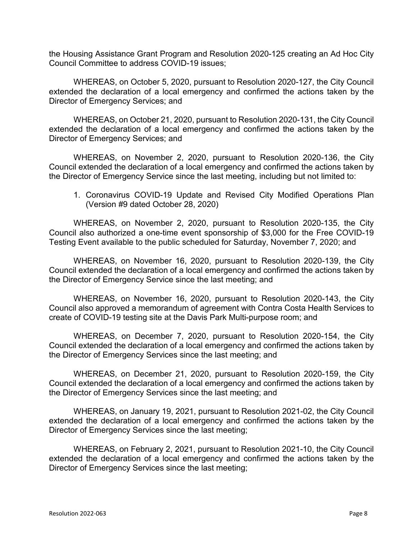the Housing Assistance Grant Program and Resolution 2020-125 creating an Ad Hoc City Council Committee to address COVID-19 issues;

WHEREAS, on October 5, 2020, pursuant to Resolution 2020-127, the City Council extended the declaration of a local emergency and confirmed the actions taken by the Director of Emergency Services; and

WHEREAS, on October 21, 2020, pursuant to Resolution 2020-131, the City Council extended the declaration of a local emergency and confirmed the actions taken by the Director of Emergency Services; and

WHEREAS, on November 2, 2020, pursuant to Resolution 2020-136, the City Council extended the declaration of a local emergency and confirmed the actions taken by the Director of Emergency Service since the last meeting, including but not limited to:

1. Coronavirus COVID-19 Update and Revised City Modified Operations Plan (Version #9 dated October 28, 2020)

WHEREAS, on November 2, 2020, pursuant to Resolution 2020-135, the City Council also authorized a one-time event sponsorship of \$3,000 for the Free COVID-19 Testing Event available to the public scheduled for Saturday, November 7, 2020; and

WHEREAS, on November 16, 2020, pursuant to Resolution 2020-139, the City Council extended the declaration of a local emergency and confirmed the actions taken by the Director of Emergency Service since the last meeting; and

WHEREAS, on November 16, 2020, pursuant to Resolution 2020-143, the City Council also approved a memorandum of agreement with Contra Costa Health Services to create of COVID-19 testing site at the Davis Park Multi-purpose room; and

WHEREAS, on December 7, 2020, pursuant to Resolution 2020-154, the City Council extended the declaration of a local emergency and confirmed the actions taken by the Director of Emergency Services since the last meeting; and

WHEREAS, on December 21, 2020, pursuant to Resolution 2020-159, the City Council extended the declaration of a local emergency and confirmed the actions taken by the Director of Emergency Services since the last meeting; and

WHEREAS, on January 19, 2021, pursuant to Resolution 2021-02, the City Council extended the declaration of a local emergency and confirmed the actions taken by the Director of Emergency Services since the last meeting;

WHEREAS, on February 2, 2021, pursuant to Resolution 2021-10, the City Council extended the declaration of a local emergency and confirmed the actions taken by the Director of Emergency Services since the last meeting;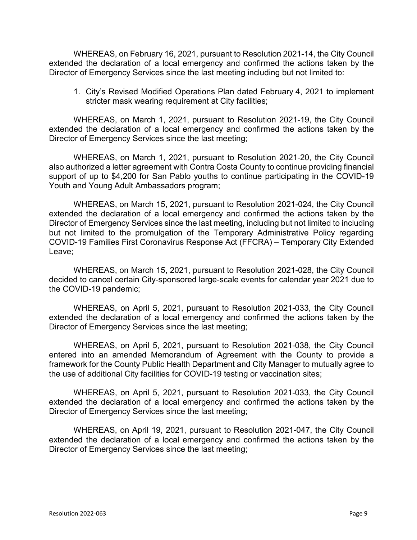WHEREAS, on February 16, 2021, pursuant to Resolution 2021-14, the City Council extended the declaration of a local emergency and confirmed the actions taken by the Director of Emergency Services since the last meeting including but not limited to:

1. City's Revised Modified Operations Plan dated February 4, 2021 to implement stricter mask wearing requirement at City facilities;

WHEREAS, on March 1, 2021, pursuant to Resolution 2021-19, the City Council extended the declaration of a local emergency and confirmed the actions taken by the Director of Emergency Services since the last meeting;

WHEREAS, on March 1, 2021, pursuant to Resolution 2021-20, the City Council also authorized a letter agreement with Contra Costa County to continue providing financial support of up to \$4,200 for San Pablo youths to continue participating in the COVID-19 Youth and Young Adult Ambassadors program;

WHEREAS, on March 15, 2021, pursuant to Resolution 2021-024, the City Council extended the declaration of a local emergency and confirmed the actions taken by the Director of Emergency Services since the last meeting, including but not limited to including but not limited to the promulgation of the Temporary Administrative Policy regarding COVID-19 Families First Coronavirus Response Act (FFCRA) – Temporary City Extended Leave;

WHEREAS, on March 15, 2021, pursuant to Resolution 2021-028, the City Council decided to cancel certain City-sponsored large-scale events for calendar year 2021 due to the COVID-19 pandemic;

WHEREAS, on April 5, 2021, pursuant to Resolution 2021-033, the City Council extended the declaration of a local emergency and confirmed the actions taken by the Director of Emergency Services since the last meeting;

WHEREAS, on April 5, 2021, pursuant to Resolution 2021-038, the City Council entered into an amended Memorandum of Agreement with the County to provide a framework for the County Public Health Department and City Manager to mutually agree to the use of additional City facilities for COVID-19 testing or vaccination sites;

WHEREAS, on April 5, 2021, pursuant to Resolution 2021-033, the City Council extended the declaration of a local emergency and confirmed the actions taken by the Director of Emergency Services since the last meeting;

WHEREAS, on April 19, 2021, pursuant to Resolution 2021-047, the City Council extended the declaration of a local emergency and confirmed the actions taken by the Director of Emergency Services since the last meeting;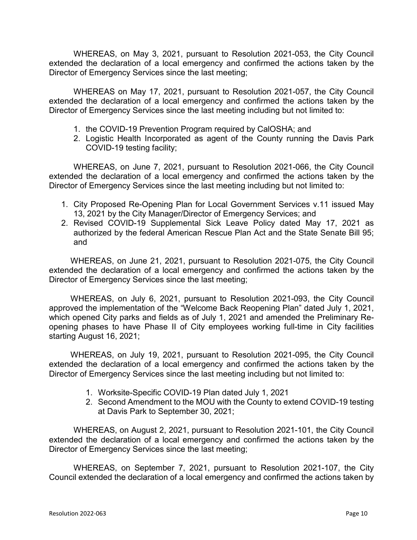WHEREAS, on May 3, 2021, pursuant to Resolution 2021-053, the City Council extended the declaration of a local emergency and confirmed the actions taken by the Director of Emergency Services since the last meeting;

WHEREAS on May 17, 2021, pursuant to Resolution 2021-057, the City Council extended the declaration of a local emergency and confirmed the actions taken by the Director of Emergency Services since the last meeting including but not limited to:

- 1. the COVID-19 Prevention Program required by CalOSHA; and
- 2. Logistic Health Incorporated as agent of the County running the Davis Park COVID-19 testing facility;

WHEREAS, on June 7, 2021, pursuant to Resolution 2021-066, the City Council extended the declaration of a local emergency and confirmed the actions taken by the Director of Emergency Services since the last meeting including but not limited to:

- 1. City Proposed Re-Opening Plan for Local Government Services v.11 issued May 13, 2021 by the City Manager/Director of Emergency Services; and
- 2. Revised COVID-19 Supplemental Sick Leave Policy dated May 17, 2021 as authorized by the federal American Rescue Plan Act and the State Senate Bill 95; and

WHEREAS, on June 21, 2021, pursuant to Resolution 2021-075, the City Council extended the declaration of a local emergency and confirmed the actions taken by the Director of Emergency Services since the last meeting;

WHEREAS, on July 6, 2021, pursuant to Resolution 2021-093, the City Council approved the implementation of the "Welcome Back Reopening Plan" dated July 1, 2021, which opened City parks and fields as of July 1, 2021 and amended the Preliminary Reopening phases to have Phase II of City employees working full-time in City facilities starting August 16, 2021;

WHEREAS, on July 19, 2021, pursuant to Resolution 2021-095, the City Council extended the declaration of a local emergency and confirmed the actions taken by the Director of Emergency Services since the last meeting including but not limited to:

- 1. Worksite-Specific COVID-19 Plan dated July 1, 2021
- 2. Second Amendment to the MOU with the County to extend COVID-19 testing at Davis Park to September 30, 2021;

WHEREAS, on August 2, 2021, pursuant to Resolution 2021-101, the City Council extended the declaration of a local emergency and confirmed the actions taken by the Director of Emergency Services since the last meeting;

WHEREAS, on September 7, 2021, pursuant to Resolution 2021-107, the City Council extended the declaration of a local emergency and confirmed the actions taken by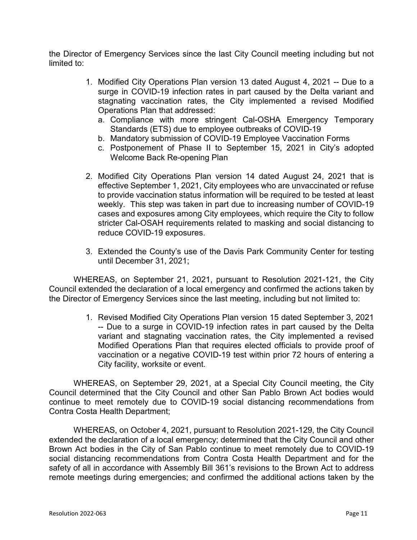the Director of Emergency Services since the last City Council meeting including but not limited to:

- 1. Modified City Operations Plan version 13 dated August 4, 2021 -- Due to a surge in COVID-19 infection rates in part caused by the Delta variant and stagnating vaccination rates, the City implemented a revised Modified Operations Plan that addressed:
	- a. Compliance with more stringent Cal-OSHA Emergency Temporary Standards (ETS) due to employee outbreaks of COVID-19
	- b. Mandatory submission of COVID-19 Employee Vaccination Forms
	- c. Postponement of Phase II to September 15, 2021 in City's adopted Welcome Back Re-opening Plan
- 2. Modified City Operations Plan version 14 dated August 24, 2021 that is effective September 1, 2021, City employees who are unvaccinated or refuse to provide vaccination status information will be required to be tested at least weekly. This step was taken in part due to increasing number of COVID-19 cases and exposures among City employees, which require the City to follow stricter Cal-OSAH requirements related to masking and social distancing to reduce COVID-19 exposures.
- 3. Extended the County's use of the Davis Park Community Center for testing until December 31, 2021;

WHEREAS, on September 21, 2021, pursuant to Resolution 2021-121, the City Council extended the declaration of a local emergency and confirmed the actions taken by the Director of Emergency Services since the last meeting, including but not limited to:

> 1. Revised Modified City Operations Plan version 15 dated September 3, 2021 -- Due to a surge in COVID-19 infection rates in part caused by the Delta variant and stagnating vaccination rates, the City implemented a revised Modified Operations Plan that requires elected officials to provide proof of vaccination or a negative COVID-19 test within prior 72 hours of entering a City facility, worksite or event.

WHEREAS, on September 29, 2021, at a Special City Council meeting, the City Council determined that the City Council and other San Pablo Brown Act bodies would continue to meet remotely due to COVID-19 social distancing recommendations from Contra Costa Health Department;

WHEREAS, on October 4, 2021, pursuant to Resolution 2021-129, the City Council extended the declaration of a local emergency; determined that the City Council and other Brown Act bodies in the City of San Pablo continue to meet remotely due to COVID-19 social distancing recommendations from Contra Costa Health Department and for the safety of all in accordance with Assembly Bill 361's revisions to the Brown Act to address remote meetings during emergencies; and confirmed the additional actions taken by the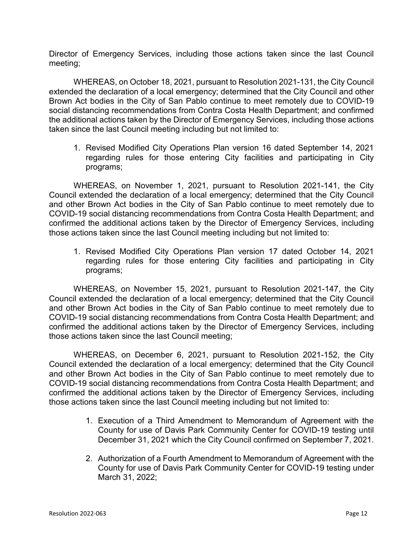Director of Emergency Services, including those actions taken since the last Council meeting;

WHEREAS, on October 18, 2021, pursuant to Resolution 2021-131, the City Council extended the declaration of a local emergency; determined that the City Council and other Brown Act bodies in the City of San Pablo continue to meet remotely due to COVID-19 social distancing recommendations from Contra Costa Health Department; and confirmed the additional actions taken by the Director of Emergency Services, including those actions taken since the last Council meeting including but not limited to:

1. Revised Modified City Operations Plan version 16 dated September 14, 2021 regarding rules for those entering City facilities and participating in City programs;

WHEREAS, on November 1, 2021, pursuant to Resolution 2021-141, the City Council extended the declaration of a local emergency; determined that the City Council and other Brown Act bodies in the City of San Pablo continue to meet remotely due to COVID-19 social distancing recommendations from Contra Costa Health Department; and confirmed the additional actions taken by the Director of Emergency Services, including those actions taken since the last Council meeting including but not limited to:

1. Revised Modified City Operations Plan version 17 dated October 14, 2021 regarding rules for those entering City facilities and participating in City programs;

WHEREAS, on November 15, 2021, pursuant to Resolution 2021-147, the City Council extended the declaration of a local emergency; determined that the City Council and other Brown Act bodies in the City of San Pablo continue to meet remotely due to COVID-19 social distancing recommendations from Contra Costa Health Department; and confirmed the additional actions taken by the Director of Emergency Services, including those actions taken since the last Council meeting;

WHEREAS, on December 6, 2021, pursuant to Resolution 2021-152, the City Council extended the declaration of a local emergency; determined that the City Council and other Brown Act bodies in the City of San Pablo continue to meet remotely due to COVID-19 social distancing recommendations from Contra Costa Health Department; and confirmed the additional actions taken by the Director of Emergency Services, including those actions taken since the last Council meeting including but not limited to:

- 1. Execution of a Third Amendment to Memorandum of Agreement with the County for use of Davis Park Community Center for COVID-19 testing until December 31, 2021 which the City Council confirmed on September 7, 2021.
- 2. Authorization of a Fourth Amendment to Memorandum of Agreement with the County for use of Davis Park Community Center for COVID-19 testing under March 31, 2022;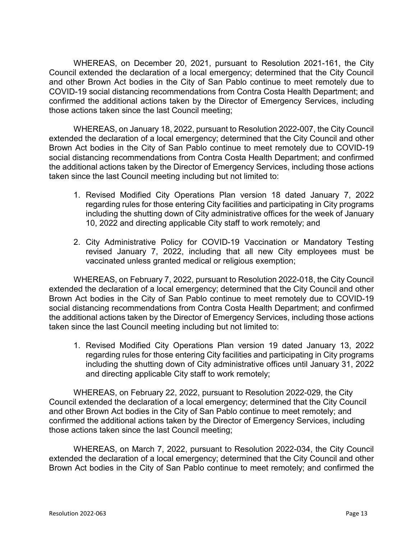WHEREAS, on December 20, 2021, pursuant to Resolution 2021-161, the City Council extended the declaration of a local emergency; determined that the City Council and other Brown Act bodies in the City of San Pablo continue to meet remotely due to COVID-19 social distancing recommendations from Contra Costa Health Department; and confirmed the additional actions taken by the Director of Emergency Services, including those actions taken since the last Council meeting;

WHEREAS, on January 18, 2022, pursuant to Resolution 2022-007, the City Council extended the declaration of a local emergency; determined that the City Council and other Brown Act bodies in the City of San Pablo continue to meet remotely due to COVID-19 social distancing recommendations from Contra Costa Health Department; and confirmed the additional actions taken by the Director of Emergency Services, including those actions taken since the last Council meeting including but not limited to:

- 1. Revised Modified City Operations Plan version 18 dated January 7, 2022 regarding rules for those entering City facilities and participating in City programs including the shutting down of City administrative offices for the week of January 10, 2022 and directing applicable City staff to work remotely; and
- 2. City Administrative Policy for COVID-19 Vaccination or Mandatory Testing revised January 7, 2022, including that all new City employees must be vaccinated unless granted medical or religious exemption;

WHEREAS, on February 7, 2022, pursuant to Resolution 2022-018, the City Council extended the declaration of a local emergency; determined that the City Council and other Brown Act bodies in the City of San Pablo continue to meet remotely due to COVID-19 social distancing recommendations from Contra Costa Health Department; and confirmed the additional actions taken by the Director of Emergency Services, including those actions taken since the last Council meeting including but not limited to:

1. Revised Modified City Operations Plan version 19 dated January 13, 2022 regarding rules for those entering City facilities and participating in City programs including the shutting down of City administrative offices until January 31, 2022 and directing applicable City staff to work remotely;

WHEREAS, on February 22, 2022, pursuant to Resolution 2022-029, the City Council extended the declaration of a local emergency; determined that the City Council and other Brown Act bodies in the City of San Pablo continue to meet remotely; and confirmed the additional actions taken by the Director of Emergency Services, including those actions taken since the last Council meeting;

WHEREAS, on March 7, 2022, pursuant to Resolution 2022-034, the City Council extended the declaration of a local emergency; determined that the City Council and other Brown Act bodies in the City of San Pablo continue to meet remotely; and confirmed the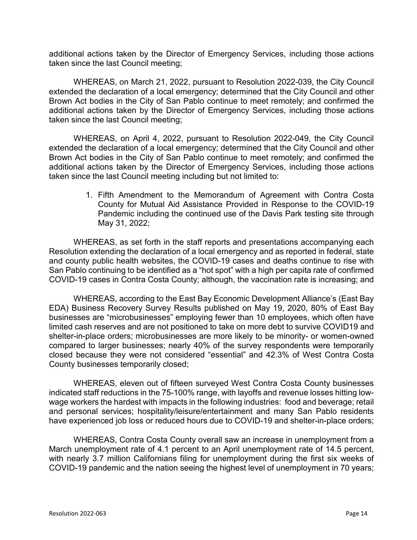additional actions taken by the Director of Emergency Services, including those actions taken since the last Council meeting;

WHEREAS, on March 21, 2022, pursuant to Resolution 2022-039, the City Council extended the declaration of a local emergency; determined that the City Council and other Brown Act bodies in the City of San Pablo continue to meet remotely; and confirmed the additional actions taken by the Director of Emergency Services, including those actions taken since the last Council meeting;

WHEREAS, on April 4, 2022, pursuant to Resolution 2022-049, the City Council extended the declaration of a local emergency; determined that the City Council and other Brown Act bodies in the City of San Pablo continue to meet remotely; and confirmed the additional actions taken by the Director of Emergency Services, including those actions taken since the last Council meeting including but not limited to:

> 1. Fifth Amendment to the Memorandum of Agreement with Contra Costa County for Mutual Aid Assistance Provided in Response to the COVID-19 Pandemic including the continued use of the Davis Park testing site through May 31, 2022;

WHEREAS, as set forth in the staff reports and presentations accompanying each Resolution extending the declaration of a local emergency and as reported in federal, state and county public health websites, the COVID-19 cases and deaths continue to rise with San Pablo continuing to be identified as a "hot spot" with a high per capita rate of confirmed COVID-19 cases in Contra Costa County; although, the vaccination rate is increasing; and

WHEREAS, according to the East Bay Economic Development Alliance's (East Bay EDA) Business Recovery Survey Results published on May 19, 2020, 80% of East Bay businesses are "microbusinesses" employing fewer than 10 employees, which often have limited cash reserves and are not positioned to take on more debt to survive COVID19 and shelter-in-place orders; microbusinesses are more likely to be minority- or women-owned compared to larger businesses; nearly 40% of the survey respondents were temporarily closed because they were not considered "essential" and 42.3% of West Contra Costa County businesses temporarily closed;

WHEREAS, eleven out of fifteen surveyed West Contra Costa County businesses indicated staff reductions in the 75-100% range, with layoffs and revenue losses hitting lowwage workers the hardest with impacts in the following industries: food and beverage; retail and personal services; hospitality/leisure/entertainment and many San Pablo residents have experienced job loss or reduced hours due to COVID-19 and shelter-in-place orders;

WHEREAS, Contra Costa County overall saw an increase in unemployment from a March unemployment rate of 4.1 percent to an April unemployment rate of 14.5 percent, with nearly 3.7 million Californians filing for unemployment during the first six weeks of COVID-19 pandemic and the nation seeing the highest level of unemployment in 70 years;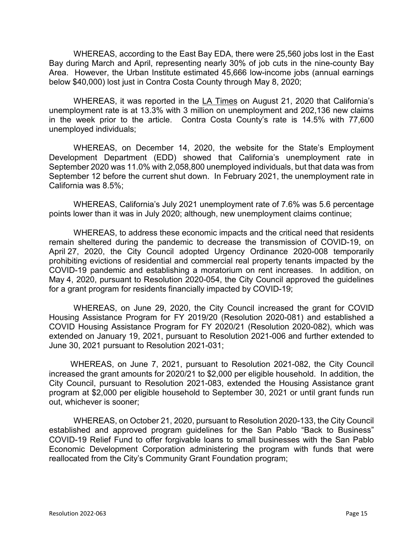WHEREAS, according to the East Bay EDA, there were 25,560 jobs lost in the East Bay during March and April, representing nearly 30% of job cuts in the nine-county Bay Area. However, the Urban Institute estimated 45,666 low-income jobs (annual earnings below \$40,000) lost just in Contra Costa County through May 8, 2020;

WHEREAS, it was reported in the LA Times on August 21, 2020 that California's unemployment rate is at 13.3% with 3 million on unemployment and 202,136 new claims in the week prior to the article. Contra Costa County's rate is 14.5% with 77,600 unemployed individuals;

WHEREAS, on December 14, 2020, the website for the State's Employment Development Department (EDD) showed that California's unemployment rate in September 2020 was 11.0% with 2,058,800 unemployed individuals, but that data was from September 12 before the current shut down. In February 2021, the unemployment rate in California was 8.5%;

WHEREAS, California's July 2021 unemployment rate of 7.6% was 5.6 percentage points lower than it was in July 2020; although, new unemployment claims continue;

WHEREAS, to address these economic impacts and the critical need that residents remain sheltered during the pandemic to decrease the transmission of COVID-19, on April 27, 2020, the City Council adopted Urgency Ordinance 2020-008 temporarily prohibiting evictions of residential and commercial real property tenants impacted by the COVID-19 pandemic and establishing a moratorium on rent increases. In addition, on May 4, 2020, pursuant to Resolution 2020-054, the City Council approved the guidelines for a grant program for residents financially impacted by COVID-19;

WHEREAS, on June 29, 2020, the City Council increased the grant for COVID Housing Assistance Program for FY 2019/20 (Resolution 2020-081) and established a COVID Housing Assistance Program for FY 2020/21 (Resolution 2020-082), which was extended on January 19, 2021, pursuant to Resolution 2021-006 and further extended to June 30, 2021 pursuant to Resolution 2021-031;

WHEREAS, on June 7, 2021, pursuant to Resolution 2021-082, the City Council increased the grant amounts for 2020/21 to \$2,000 per eligible household. In addition, the City Council, pursuant to Resolution 2021-083, extended the Housing Assistance grant program at \$2,000 per eligible household to September 30, 2021 or until grant funds run out, whichever is sooner;

WHEREAS, on October 21, 2020, pursuant to Resolution 2020-133, the City Council established and approved program guidelines for the San Pablo "Back to Business" COVID-19 Relief Fund to offer forgivable loans to small businesses with the San Pablo Economic Development Corporation administering the program with funds that were reallocated from the City's Community Grant Foundation program;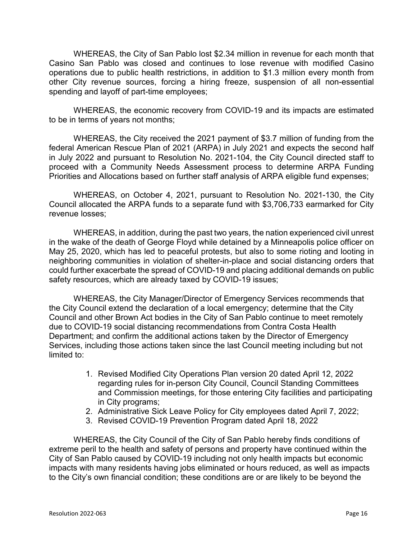WHEREAS, the City of San Pablo lost \$2.34 million in revenue for each month that Casino San Pablo was closed and continues to lose revenue with modified Casino operations due to public health restrictions, in addition to \$1.3 million every month from other City revenue sources, forcing a hiring freeze, suspension of all non-essential spending and layoff of part-time employees;

WHEREAS, the economic recovery from COVID-19 and its impacts are estimated to be in terms of years not months;

WHEREAS, the City received the 2021 payment of \$3.7 million of funding from the federal American Rescue Plan of 2021 (ARPA) in July 2021 and expects the second half in July 2022 and pursuant to Resolution No. 2021-104, the City Council directed staff to proceed with a Community Needs Assessment process to determine ARPA Funding Priorities and Allocations based on further staff analysis of ARPA eligible fund expenses;

WHEREAS, on October 4, 2021, pursuant to Resolution No. 2021-130, the City Council allocated the ARPA funds to a separate fund with \$3,706,733 earmarked for City revenue losses;

WHEREAS, in addition, during the past two years, the nation experienced civil unrest in the wake of the death of George Floyd while detained by a Minneapolis police officer on May 25, 2020, which has led to peaceful protests, but also to some rioting and looting in neighboring communities in violation of shelter-in-place and social distancing orders that could further exacerbate the spread of COVID-19 and placing additional demands on public safety resources, which are already taxed by COVID-19 issues;

WHEREAS, the City Manager/Director of Emergency Services recommends that the City Council extend the declaration of a local emergency; determine that the City Council and other Brown Act bodies in the City of San Pablo continue to meet remotely due to COVID-19 social distancing recommendations from Contra Costa Health Department; and confirm the additional actions taken by the Director of Emergency Services, including those actions taken since the last Council meeting including but not limited to:

- 1. Revised Modified City Operations Plan version 20 dated April 12, 2022 regarding rules for in-person City Council, Council Standing Committees and Commission meetings, for those entering City facilities and participating in City programs;
- 2. Administrative Sick Leave Policy for City employees dated April 7, 2022;
- 3. Revised COVID-19 Prevention Program dated April 18, 2022

WHEREAS, the City Council of the City of San Pablo hereby finds conditions of extreme peril to the health and safety of persons and property have continued within the City of San Pablo caused by COVID-19 including not only health impacts but economic impacts with many residents having jobs eliminated or hours reduced, as well as impacts to the City's own financial condition; these conditions are or are likely to be beyond the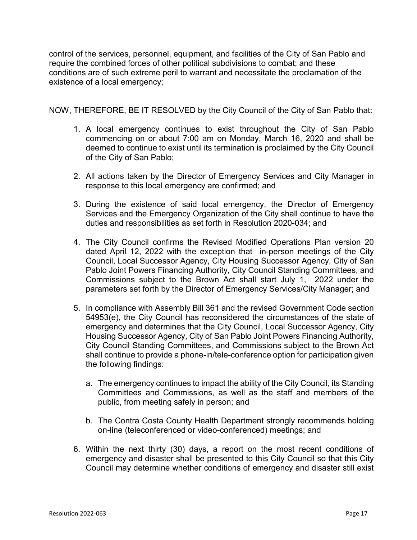control of the services, personnel, equipment, and facilities of the City of San Pablo and require the combined forces of other political subdivisions to combat; and these conditions are of such extreme peril to warrant and necessitate the proclamation of the existence of a local emergency;

NOW, THEREFORE, BE IT RESOLVED by the City Council of the City of San Pablo that:

- 1. A local emergency continues to exist throughout the City of San Pablo commencing on or about 7:00 am on Monday, March 16, 2020 and shall be deemed to continue to exist until its termination is proclaimed by the City Council of the City of San Pablo;
- 2. All actions taken by the Director of Emergency Services and City Manager in response to this local emergency are confirmed; and
- 3. During the existence of said local emergency, the Director of Emergency Services and the Emergency Organization of the City shall continue to have the duties and responsibilities as set forth in Resolution 2020-034; and
- 4. The City Council confirms the Revised Modified Operations Plan version 20 dated April 12, 2022 with the exception that in-person meetings of the City Council, Local Successor Agency, City Housing Successor Agency, City of San Pablo Joint Powers Financing Authority, City Council Standing Committees, and Commissions subject to the Brown Act shall start July 1, 2022 under the parameters set forth by the Director of Emergency Services/City Manager; and
- 5. In compliance with Assembly Bill 361 and the revised Government Code section 54953(e), the City Council has reconsidered the circumstances of the state of emergency and determines that the City Council, Local Successor Agency, City Housing Successor Agency, City of San Pablo Joint Powers Financing Authority, City Council Standing Committees, and Commissions subject to the Brown Act shall continue to provide a phone-in/tele-conference option for participation given the following findings:
	- a. The emergency continues to impact the ability of the City Council, its Standing Committees and Commissions, as well as the staff and members of the public, from meeting safely in person; and
	- b. The Contra Costa County Health Department strongly recommends holding on-line (teleconferenced or video-conferenced) meetings; and
- 6. Within the next thirty (30) days, a report on the most recent conditions of emergency and disaster shall be presented to this City Council so that this City Council may determine whether conditions of emergency and disaster still exist